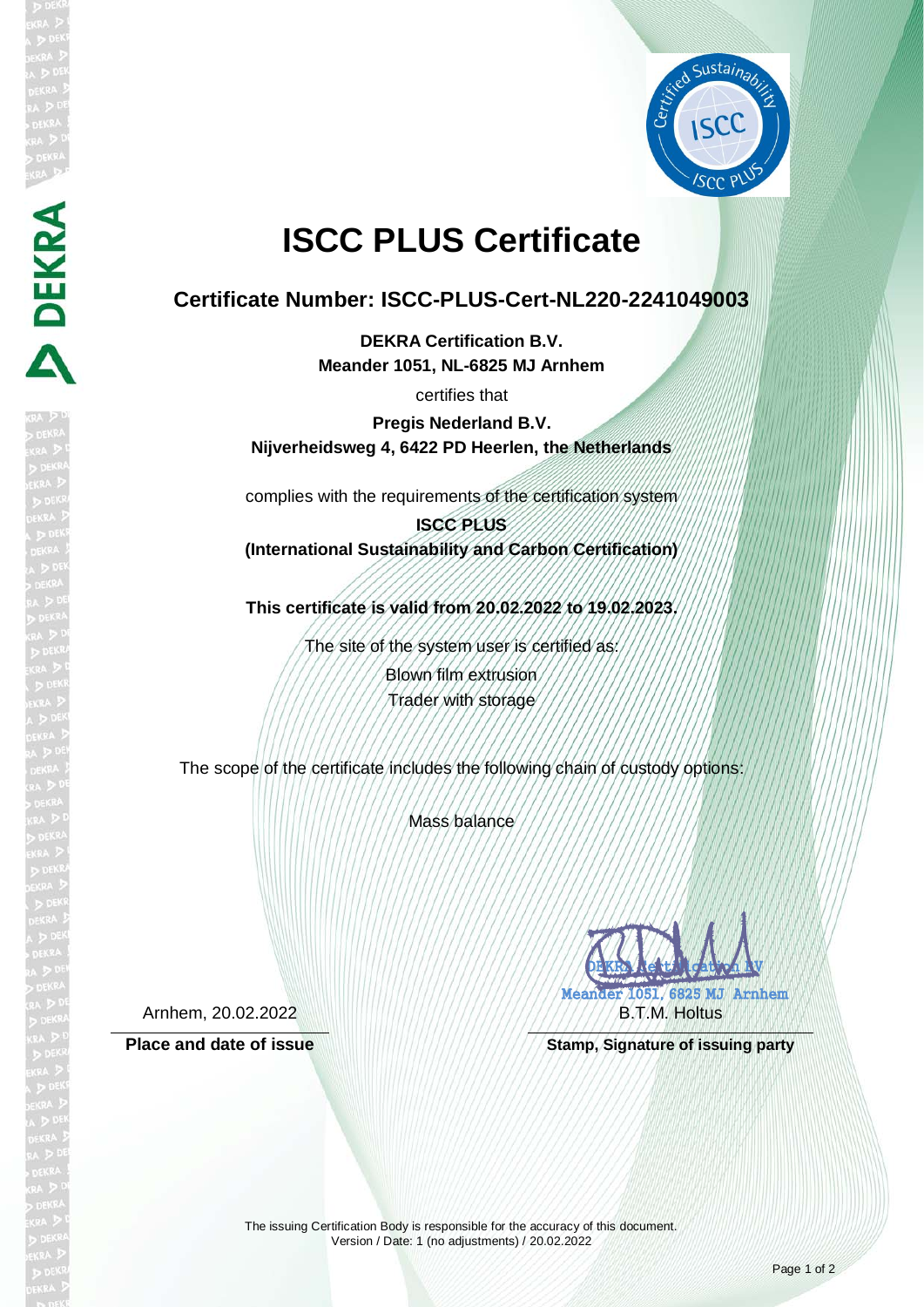

# **ISCC PLUS Certificate**

## **Certificate Number: ISCC-PLUS-Cert-NL220-2241049003**

**DEKRA Certification B.V. Meander 1051, NL-6825 MJ Arnhem**

certifies that

**Pregis Nederland B.V. Nijverheidsweg 4, 6422 PD Heerlen, the Netherlands**

complies with the requirements of the certification system

**ISCC PLUS (International Sustainability and Carbon Certification)**

**This certificate is valid from 20.02.2022 to 19.02.2023.**

The site of the system user is certified as: Blown film extrusion Trader with storage

The scope of the certificate includes the following chain of custody options:

Mass balance

Arnhem, 20.02.2022

**DEKRA** 



Place and date of issue **Stamp, Stamp, Signature of issuing party** 

The issuing Certification Body is responsible for the accuracy of this document. Version / Date: 1 (no adjustments) / 20.02.2022